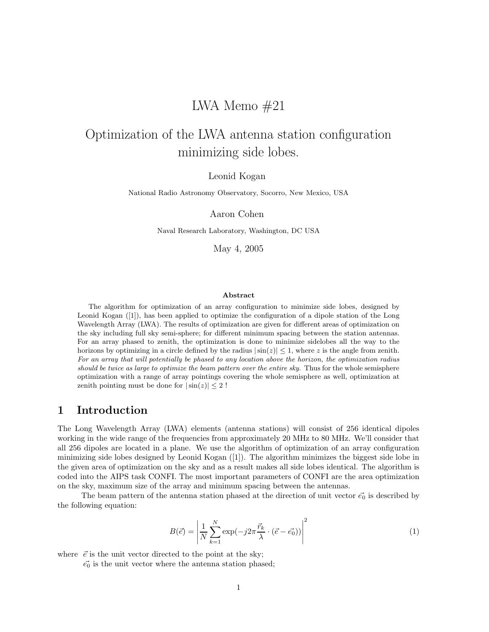## LWA Memo  $#21$

# Optimization of the LWA antenna station configuration minimizing side lobes.

Leonid Kogan

National Radio Astronomy Observatory, Socorro, New Mexico, USA

Aaron Cohen

Naval Research Laboratory, Washington, DC USA

May 4, 2005

#### Abstract

The algorithm for optimization of an array configuration to minimize side lobes, designed by Leonid Kogan ([1]), has been applied to optimize the configuration of a dipole station of the Long Wavelength Array (LWA). The results of optimization are given for different areas of optimization on the sky including full sky semi-sphere; for different minimum spacing between the station antennas. For an array phased to zenith, the optimization is done to minimize sidelobes all the way to the horizons by optimizing in a circle defined by the radius  $|\sin(z)| \leq 1$ , where z is the angle from zenith. For an array that will potentially be phased to any location above the horizon, the optimization radius should be twice as large to optimize the beam pattern over the entire sky. Thus for the whole semisphere optimization with a range of array pointings covering the whole semisphere as well, optimization at zenith pointing must be done for  $|\sin(z)| \leq 2!$ 

#### 1 Introduction

The Long Wavelength Array (LWA) elements (antenna stations) will consist of 256 identical dipoles working in the wide range of the frequencies from approximately 20 MHz to 80 MHz. We'll consider that all 256 dipoles are located in a plane. We use the algorithm of optimization of an array configuration minimizing side lobes designed by Leonid Kogan ([1]). The algorithm minimizes the biggest side lobe in the given area of optimization on the sky and as a result makes all side lobes identical. The algorithm is coded into the AIPS task CONFI. The most important parameters of CONFI are the area optimization on the sky, maximum size of the array and minimum spacing between the antennas.

The beam pattern of the antenna station phased at the direction of unit vector  $\vec{e_0}$  is described by the following equation:

$$
B(\vec{e}) = \left| \frac{1}{N} \sum_{k=1}^{N} \exp(-j2\pi \frac{\vec{r}_k}{\lambda} \cdot (\vec{e} - \vec{e_0})) \right|^2 \tag{1}
$$

where  $\vec{e}$  is the unit vector directed to the point at the sky;

 $\vec{e_0}$  is the unit vector where the antenna station phased;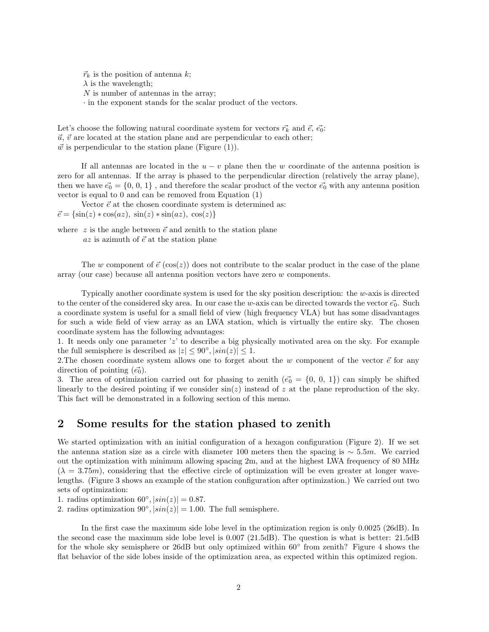$\vec{r}_k$  is the position of antenna k;  $\lambda$  is the wavelength; N is number of antennas in the array; · in the exponent stands for the scalar product of the vectors.

Let's choose the following natural coordinate system for vectors  $\vec{r_k}$  and  $\vec{e}, \vec{e_0}$ :  $\vec{u}, \vec{v}$  are located at the station plane and are perpendicular to each other;  $\vec{w}$  is perpendicular to the station plane (Figure (1)).

If all antennas are located in the  $u - v$  plane then the w coordinate of the antenna position is zero for all antennas. If the array is phased to the perpendicular direction (relatively the array plane), then we have  $\vec{e_0} = \{0, 0, 1\}$ , and therefore the scalar product of the vector  $\vec{e_0}$  with any antenna position vector is equal to 0 and can be removed from Equation (1)

Vector  $\vec{e}$  at the chosen coordinate system is determined as:  $\vec{e} = {\sin(z) * \cos(az), \sin(z) * \sin(az), \cos(z)}$ 

where  $z$  is the angle between  $\vec{e}$  and zenith to the station plane  $az$  is azimuth of  $\vec{e}$  at the station plane

The w component of  $\vec{e}$  (cos(z)) does not contribute to the scalar product in the case of the plane array (our case) because all antenna position vectors have zero w components.

Typically another coordinate system is used for the sky position description: the w-axis is directed to the center of the considered sky area. In our case the w-axis can be directed towards the vector  $\vec{e_0}$ . Such a coordinate system is useful for a small field of view (high frequency VLA) but has some disadvantages for such a wide field of view array as an LWA station, which is virtually the entire sky. The chosen coordinate system has the following advantages:

1. It needs only one parameter 'z' to describe a big physically motivated area on the sky. For example the full semisphere is described as  $|z| \le 90^\circ, |\sin(z)| \le 1$ .

2. The chosen coordinate system allows one to forget about the w component of the vector  $\vec{e}$  for any direction of pointing  $(\vec{e_0})$ .

3. The area of optimization carried out for phasing to zenith  $(\vec{e_0} = \{0, 0, 1\})$  can simply be shifted linearly to the desired pointing if we consider  $\sin(z)$  instead of z at the plane reproduction of the sky. This fact will be demonstrated in a following section of this memo.

#### 2 Some results for the station phased to zenith

We started optimization with an initial configuration of a hexagon configuration (Figure 2). If we set the antenna station size as a circle with diameter 100 meters then the spacing is  $\sim$  5.5m. We carried out the optimization with minimum allowing spacing 2m, and at the highest LWA frequency of 80 MHz  $(\lambda = 3.75m)$ , considering that the effective circle of optimization will be even greater at longer wavelengths. (Figure 3 shows an example of the station configuration after optimization.) We carried out two sets of optimization:

1. radius optimization 60°,  $|\sin(z)| = 0.87$ .

2. radius optimization  $90^\circ$ ,  $\left|\sin(z)\right| = 1.00$ . The full semisphere.

In the first case the maximum side lobe level in the optimization region is only 0.0025 (26dB). In the second case the maximum side lobe level is 0.007 (21.5dB). The question is what is better: 21.5dB for the whole sky semisphere or 26dB but only optimized within 60° from zenith? Figure 4 shows the flat behavior of the side lobes inside of the optimization area, as expected within this optimized region.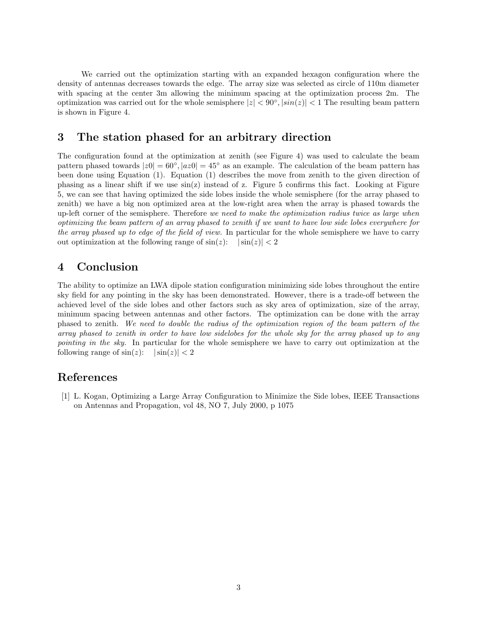We carried out the optimization starting with an expanded hexagon configuration where the density of antennas decreases towards the edge. The array size was selected as circle of 110m diameter with spacing at the center 3m allowing the minimum spacing at the optimization process 2m. The optimization was carried out for the whole semisphere  $|z| < 90^\circ, |\sin(z)| < 1$  The resulting beam pattern is shown in Figure 4.

#### 3 The station phased for an arbitrary direction

The configuration found at the optimization at zenith (see Figure 4) was used to calculate the beam pattern phased towards  $|z0| = 60^{\circ}$ ,  $|az0| = 45^{\circ}$  as an example. The calculation of the beam pattern has been done using Equation (1). Equation (1) describes the move from zenith to the given direction of phasing as a linear shift if we use  $sin(z)$  instead of z. Figure 5 confirms this fact. Looking at Figure 5, we can see that having optimized the side lobes inside the whole semisphere (for the array phased to zenith) we have a big non optimized area at the low-right area when the array is phased towards the up-left corner of the semisphere. Therefore we need to make the optimization radius twice as large when optimizing the beam pattern of an array phased to zenith if we want to have low side lobes everywhere for the array phased up to edge of the field of view. In particular for the whole semisphere we have to carry out optimization at the following range of  $\sin(z)$ :  $|\sin(z)| < 2$ 

### 4 Conclusion

The ability to optimize an LWA dipole station configuration minimizing side lobes throughout the entire sky field for any pointing in the sky has been demonstrated. However, there is a trade-off between the achieved level of the side lobes and other factors such as sky area of optimization, size of the array, minimum spacing between antennas and other factors. The optimization can be done with the array phased to zenith. We need to double the radius of the optimization region of the beam pattern of the array phased to zenith in order to have low sidelobes for the whole sky for the array phased up to any pointing in the sky. In particular for the whole semisphere we have to carry out optimization at the following range of  $\sin(z)$ :  $|\sin(z)| < 2$ 

#### References

[1] L. Kogan, Optimizing a Large Array Configuration to Minimize the Side lobes, IEEE Transactions on Antennas and Propagation, vol 48, NO 7, July 2000, p 1075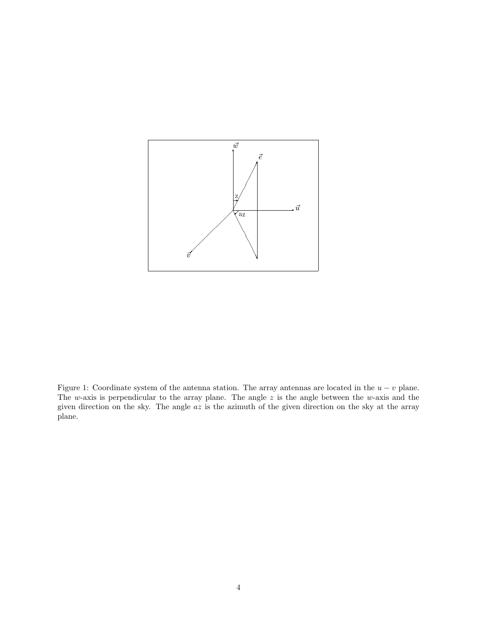

Figure 1: Coordinate system of the antenna station. The array antennas are located in the  $u - v$  plane. The w-axis is perpendicular to the array plane. The angle  $z$  is the angle between the w-axis and the given direction on the sky. The angle az is the azimuth of the given direction on the sky at the array plane.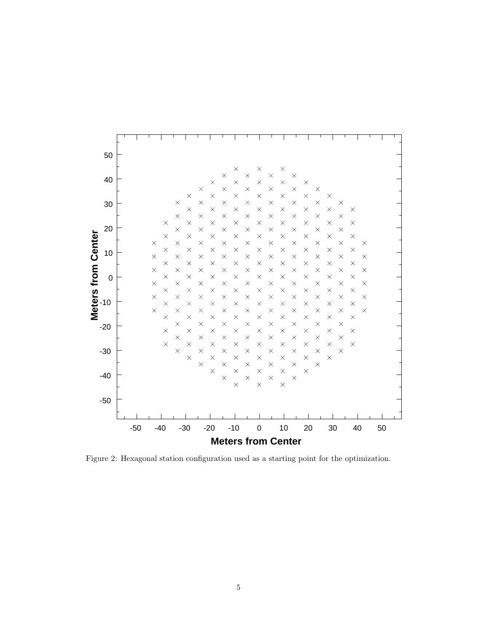

Figure 2: Hexagonal station configuration used as a starting point for the optimization.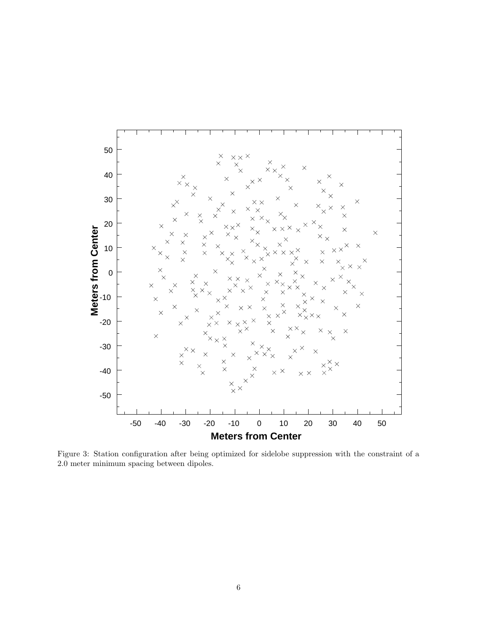

Figure 3: Station configuration after being optimized for sidelobe suppression with the constraint of a 2.0 meter minimum spacing between dipoles.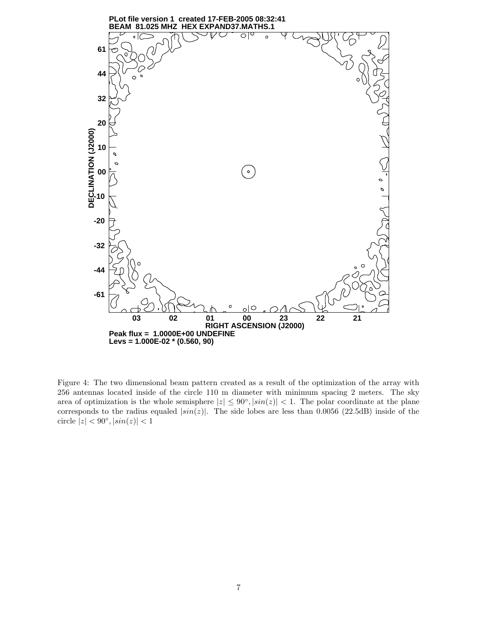

Figure 4: The two dimensional beam pattern created as a result of the optimization of the array with 256 antennas located inside of the circle 110 m diameter with minimum spacing 2 meters. The sky area of optimization is the whole semisphere  $|z| \leq 90^{\circ}, |sin(z)| < 1$ . The polar coordinate at the plane corresponds to the radius equaled  $|\sin(z)|$ . The side lobes are less than 0.0056 (22.5dB) inside of the circle  $|z| < 90^\circ, |\sin(z)| < 1$